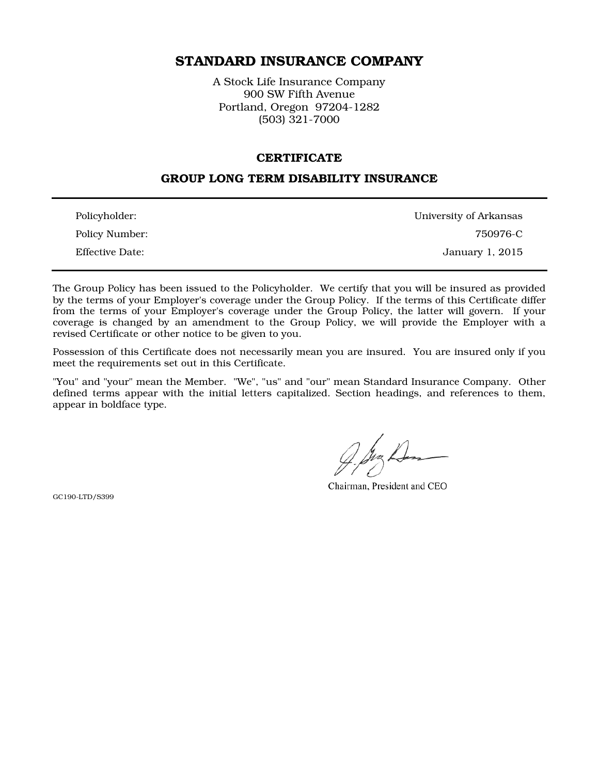# STANDARD INSURANCE COMPANY

A Stock Life Insurance Company 900 SW Fifth Avenue Portland, Oregon 97204-1282 (503) 321-7000

#### **CERTIFICATE**

### GROUP LONG TERM DISABILITY INSURANCE

| Policyholder:   | University of Arkansas |
|-----------------|------------------------|
| Policy Number:  | 750976-C               |
| Effective Date: | January 1, 2015        |

The Group Policy has been issued to the Policyholder. We certify that you will be insured as provided by the terms of your Employer's coverage under the Group Policy. If the terms of this Certificate differ from the terms of your Employer's coverage under the Group Policy, the latter will govern. If your coverage is changed by an amendment to the Group Policy, we will provide the Employer with a revised Certificate or other notice to be given to you.

Possession of this Certificate does not necessarily mean you are insured. You are insured only if you meet the requirements set out in this Certificate.

"You" and "your" mean the Member. "We", "us" and "our" mean Standard Insurance Company. Other defined terms appear with the initial letters capitalized. Section headings, and references to them, appear in boldface type.

Chairman, President and CEO

GC190-LTD/S399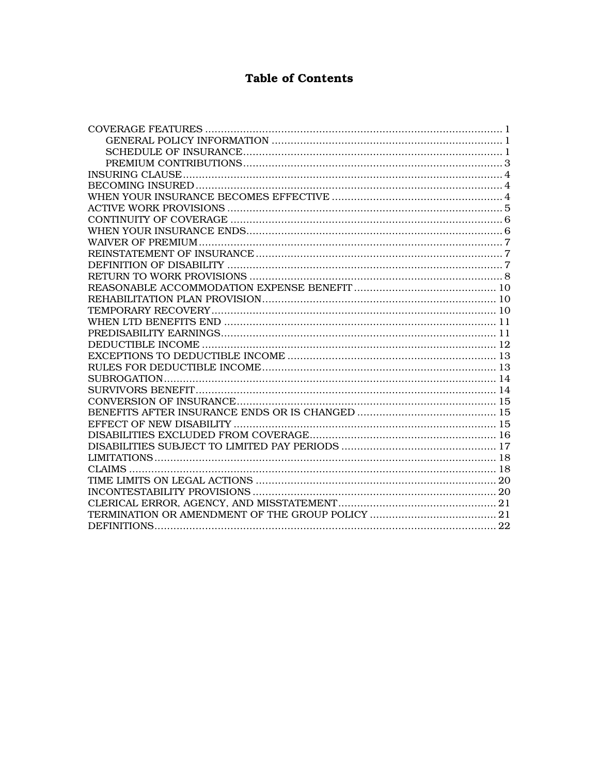# **Table of Contents**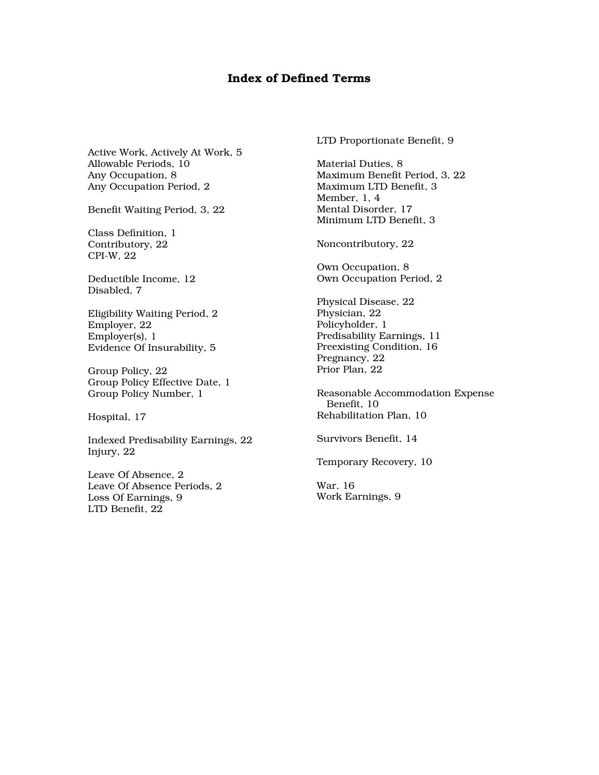### Index of Defined Terms

Active Work, Actively At Work, 5 Allowable Periods, 10 Any Occupation, 8 Any Occupation Period, 2

Benefit Waiting Period, 3, 22

Class Definition, 1 Contributory, 22 CPI-W, 22

Deductible Income, 12 Disabled, 7

Eligibility Waiting Period, 2 Employer, 22 Employer(s), 1 Evidence Of Insurability, 5

Group Policy, 22 Group Policy Effective Date, 1 Group Policy Number, 1

Hospital, 17

Indexed Predisability Earnings, 22 Injury, 22

Leave Of Absence, 2 Leave Of Absence Periods, 2 Loss Of Earnings, 9 LTD Benefit, 22

LTD Proportionate Benefit, 9

Material Duties, 8 Maximum Benefit Period, 3, 22 Maximum LTD Benefit, 3 Member, 1, 4 Mental Disorder, 17 Minimum LTD Benefit, 3

Noncontributory, 22

Own Occupation, 8 Own Occupation Period, 2

Physical Disease, 22 Physician, 22 Policyholder, 1 Predisability Earnings, 11 Preexisting Condition, 16 Pregnancy, 22 Prior Plan, 22

Reasonable Accommodation Expense Benefit, 10 Rehabilitation Plan, 10

Survivors Benefit, 14

Temporary Recovery, 10

War, 16 Work Earnings, 9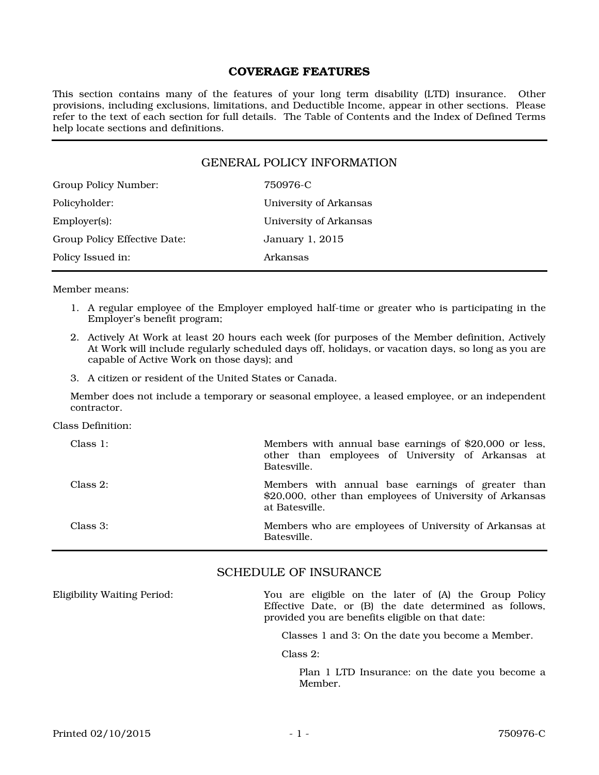### COVERAGE FEATURES

This section contains many of the features of your long term disability (LTD) insurance. Other provisions, including exclusions, limitations, and Deductible Income, appear in other sections. Please refer to the text of each section for full details. The Table of Contents and the Index of Defined Terms help locate sections and definitions.

### GENERAL POLICY INFORMATION

| Group Policy Number:         | 750976-C               |
|------------------------------|------------------------|
| Policyholder:                | University of Arkansas |
| $Emplover(s)$ :              | University of Arkansas |
| Group Policy Effective Date: | January 1, 2015        |
| Policy Issued in:            | Arkansas               |

Member means:

- 1. A regular employee of the Employer employed half-time or greater who is participating in the Employer's benefit program;
- 2. Actively At Work at least 20 hours each week (for purposes of the Member definition, Actively At Work will include regularly scheduled days off, holidays, or vacation days, so long as you are capable of Active Work on those days); and
- 3. A citizen or resident of the United States or Canada.

Member does not include a temporary or seasonal employee, a leased employee, or an independent contractor.

Class Definition:

| Class $1$ : | Members with annual base earnings of \$20,000 or less,<br>other than employees of University of Arkansas at<br>Batesville.      |
|-------------|---------------------------------------------------------------------------------------------------------------------------------|
| Class $2$ : | Members with annual base earnings of greater than<br>\$20,000, other than employees of University of Arkansas<br>at Batesville. |
| Class 3:    | Members who are employees of University of Arkansas at<br>Batesville.                                                           |

### SCHEDULE OF INSURANCE

Eligibility Waiting Period: You are eligible on the later of (A) the Group Policy Effective Date, or (B) the date determined as follows, provided you are benefits eligible on that date:

Classes 1 and 3: On the date you become a Member.

Class 2:

Plan 1 LTD Insurance: on the date you become a Member.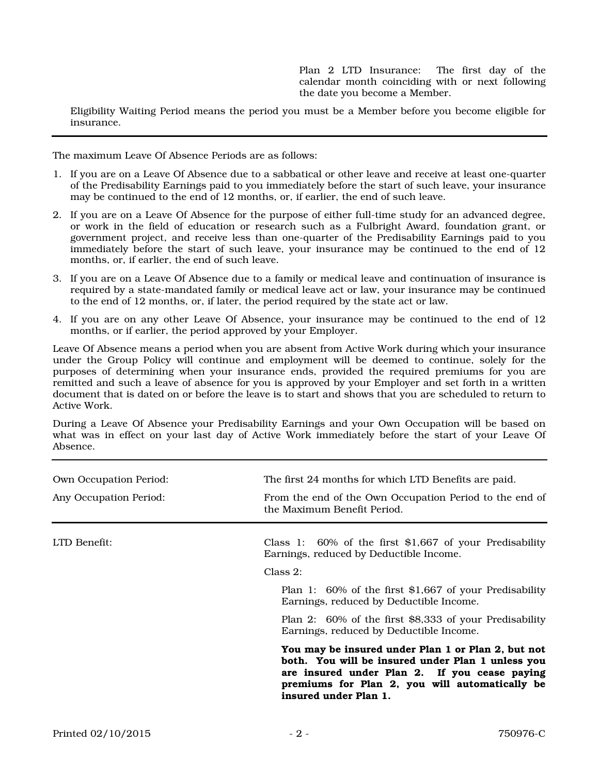Plan 2 LTD Insurance: The first day of the calendar month coinciding with or next following the date you become a Member.

Eligibility Waiting Period means the period you must be a Member before you become eligible for insurance.

The maximum Leave Of Absence Periods are as follows:

- 1. If you are on a Leave Of Absence due to a sabbatical or other leave and receive at least one-quarter of the Predisability Earnings paid to you immediately before the start of such leave, your insurance may be continued to the end of 12 months, or, if earlier, the end of such leave.
- 2. If you are on a Leave Of Absence for the purpose of either full-time study for an advanced degree, or work in the field of education or research such as a Fulbright Award, foundation grant, or government project, and receive less than one-quarter of the Predisability Earnings paid to you immediately before the start of such leave, your insurance may be continued to the end of 12 months, or, if earlier, the end of such leave.
- 3. If you are on a Leave Of Absence due to a family or medical leave and continuation of insurance is required by a state-mandated family or medical leave act or law, your insurance may be continued to the end of 12 months, or, if later, the period required by the state act or law.
- 4. If you are on any other Leave Of Absence, your insurance may be continued to the end of 12 months, or if earlier, the period approved by your Employer.

Leave Of Absence means a period when you are absent from Active Work during which your insurance under the Group Policy will continue and employment will be deemed to continue, solely for the purposes of determining when your insurance ends, provided the required premiums for you are remitted and such a leave of absence for you is approved by your Employer and set forth in a written document that is dated on or before the leave is to start and shows that you are scheduled to return to Active Work.

During a Leave Of Absence your Predisability Earnings and your Own Occupation will be based on what was in effect on your last day of Active Work immediately before the start of your Leave Of Absence.

| <b>Own Occupation Period:</b><br>Any Occupation Period: | The first 24 months for which LTD Benefits are paid.<br>From the end of the Own Occupation Period to the end of<br>the Maximum Benefit Period.                                                                                      |
|---------------------------------------------------------|-------------------------------------------------------------------------------------------------------------------------------------------------------------------------------------------------------------------------------------|
| LTD Benefit:                                            | Class 1: $60\%$ of the first \$1,667 of your Predisability<br>Earnings, reduced by Deductible Income.<br>Class 2:                                                                                                                   |
|                                                         | Plan 1: 60% of the first \$1,667 of your Predisability<br>Earnings, reduced by Deductible Income.                                                                                                                                   |
|                                                         | Plan 2: 60% of the first \$8,333 of your Predisability<br>Earnings, reduced by Deductible Income.                                                                                                                                   |
|                                                         | You may be insured under Plan 1 or Plan 2, but not<br>both. You will be insured under Plan 1 unless you<br>are insured under Plan 2. If you cease paying<br>premiums for Plan 2, you will automatically be<br>insured under Plan 1. |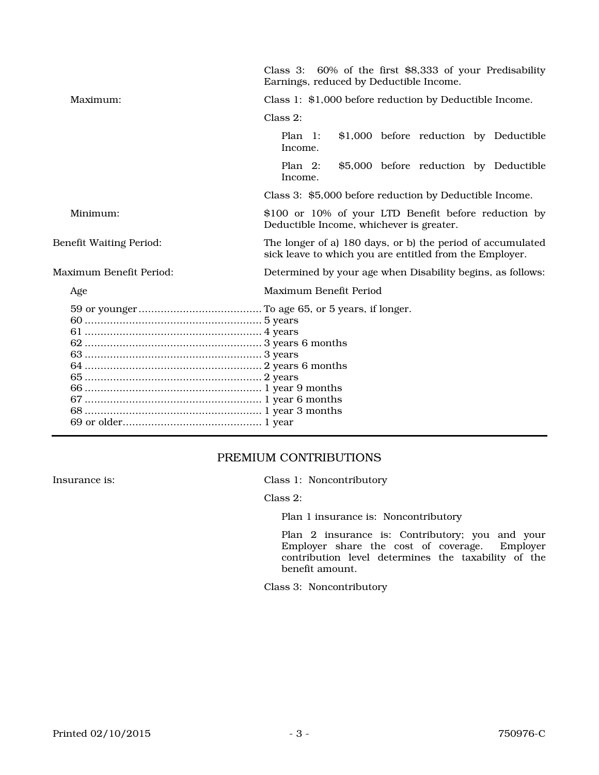|                                | Class 3: 60% of the first \$8,333 of your Predisability<br>Earnings, reduced by Deductible Income.                    |
|--------------------------------|-----------------------------------------------------------------------------------------------------------------------|
| Maximum:                       | Class 1: \$1,000 before reduction by Deductible Income.                                                               |
|                                | $Class 2$ :                                                                                                           |
|                                | Plan 1:<br>\$1,000 before reduction by Deductible<br>Income.                                                          |
|                                | \$5,000 before reduction by Deductible<br>Plan $2:$<br>Income.                                                        |
|                                | Class 3: \$5,000 before reduction by Deductible Income.                                                               |
| Minimum:                       | \$100 or 10% of your LTD Benefit before reduction by<br>Deductible Income, whichever is greater.                      |
| <b>Benefit Waiting Period:</b> | The longer of a) 180 days, or b) the period of accumulated<br>sick leave to which you are entitled from the Employer. |
| Maximum Benefit Period:        | Determined by your age when Disability begins, as follows:                                                            |
| Age                            | Maximum Benefit Period                                                                                                |
|                                |                                                                                                                       |

## PREMIUM CONTRIBUTIONS

Insurance is: Class 1: Noncontributory

Class 2:

Plan 1 insurance is: Noncontributory

Plan 2 insurance is: Contributory; you and your Employer share the cost of coverage. Employer contribution level determines the taxability of the benefit amount.

Class 3: Noncontributory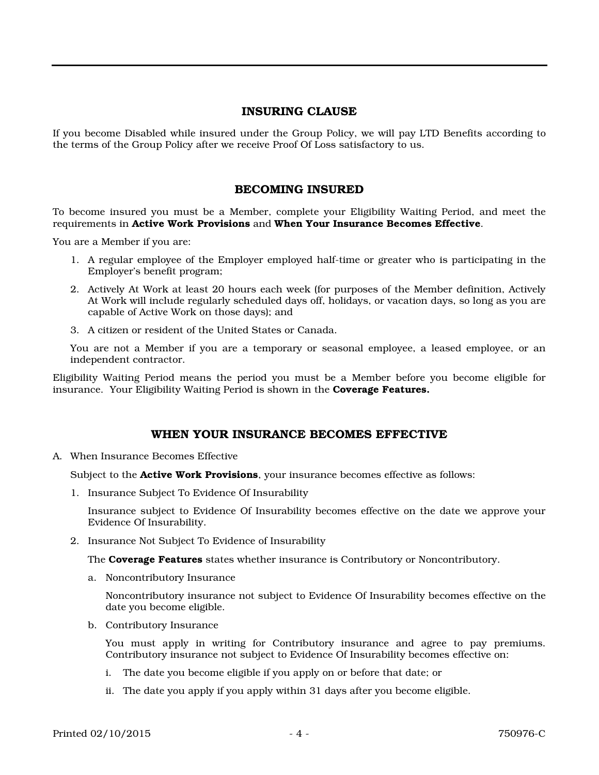### INSURING CLAUSE

If you become Disabled while insured under the Group Policy, we will pay LTD Benefits according to the terms of the Group Policy after we receive Proof Of Loss satisfactory to us.

### BECOMING INSURED

To become insured you must be a Member, complete your Eligibility Waiting Period, and meet the requirements in Active Work Provisions and When Your Insurance Becomes Effective.

You are a Member if you are:

- 1. A regular employee of the Employer employed half-time or greater who is participating in the Employer's benefit program;
- 2. Actively At Work at least 20 hours each week (for purposes of the Member definition, Actively At Work will include regularly scheduled days off, holidays, or vacation days, so long as you are capable of Active Work on those days); and
- 3. A citizen or resident of the United States or Canada.

You are not a Member if you are a temporary or seasonal employee, a leased employee, or an independent contractor.

Eligibility Waiting Period means the period you must be a Member before you become eligible for insurance. Your Eligibility Waiting Period is shown in the **Coverage Features.** 

### WHEN YOUR INSURANCE BECOMES EFFECTIVE

A. When Insurance Becomes Effective

Subject to the **Active Work Provisions**, your insurance becomes effective as follows:

1. Insurance Subject To Evidence Of Insurability

Insurance subject to Evidence Of Insurability becomes effective on the date we approve your Evidence Of Insurability.

2. Insurance Not Subject To Evidence of Insurability

The Coverage Features states whether insurance is Contributory or Noncontributory.

a. Noncontributory Insurance

Noncontributory insurance not subject to Evidence Of Insurability becomes effective on the date you become eligible.

b. Contributory Insurance

You must apply in writing for Contributory insurance and agree to pay premiums. Contributory insurance not subject to Evidence Of Insurability becomes effective on:

- i. The date you become eligible if you apply on or before that date; or
- ii. The date you apply if you apply within 31 days after you become eligible.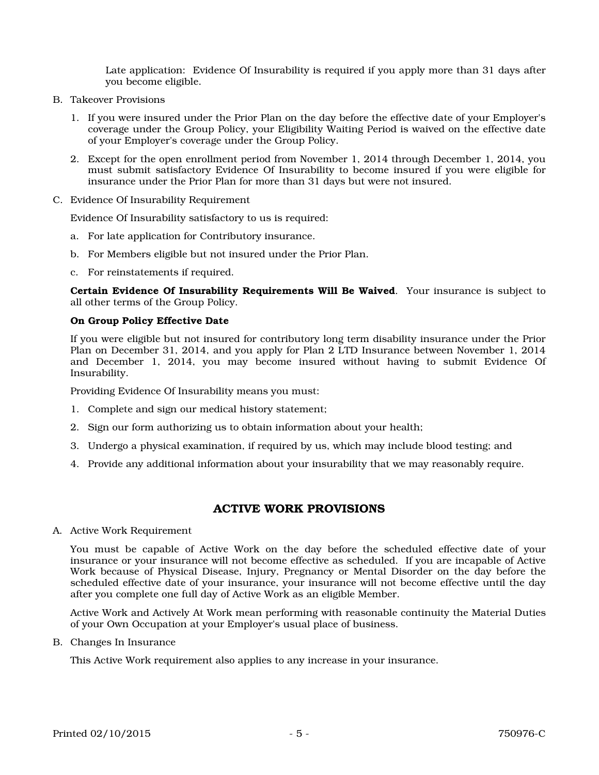Late application: Evidence Of Insurability is required if you apply more than 31 days after you become eligible.

- B. Takeover Provisions
	- 1. If you were insured under the Prior Plan on the day before the effective date of your Employer's coverage under the Group Policy, your Eligibility Waiting Period is waived on the effective date of your Employer's coverage under the Group Policy.
	- 2. Except for the open enrollment period from November 1, 2014 through December 1, 2014, you must submit satisfactory Evidence Of Insurability to become insured if you were eligible for insurance under the Prior Plan for more than 31 days but were not insured.
- C. Evidence Of Insurability Requirement

Evidence Of Insurability satisfactory to us is required:

- a. For late application for Contributory insurance.
- b. For Members eligible but not insured under the Prior Plan.
- c. For reinstatements if required.

Certain Evidence Of Insurability Requirements Will Be Waived. Your insurance is subject to all other terms of the Group Policy.

#### On Group Policy Effective Date

If you were eligible but not insured for contributory long term disability insurance under the Prior Plan on December 31, 2014, and you apply for Plan 2 LTD Insurance between November 1, 2014 and December 1, 2014, you may become insured without having to submit Evidence Of Insurability.

Providing Evidence Of Insurability means you must:

- 1. Complete and sign our medical history statement;
- 2. Sign our form authorizing us to obtain information about your health;
- 3. Undergo a physical examination, if required by us, which may include blood testing; and
- 4. Provide any additional information about your insurability that we may reasonably require.

### ACTIVE WORK PROVISIONS

A. Active Work Requirement

You must be capable of Active Work on the day before the scheduled effective date of your insurance or your insurance will not become effective as scheduled. If you are incapable of Active Work because of Physical Disease, Injury, Pregnancy or Mental Disorder on the day before the scheduled effective date of your insurance, your insurance will not become effective until the day after you complete one full day of Active Work as an eligible Member.

Active Work and Actively At Work mean performing with reasonable continuity the Material Duties of your Own Occupation at your Employer's usual place of business.

B. Changes In Insurance

This Active Work requirement also applies to any increase in your insurance.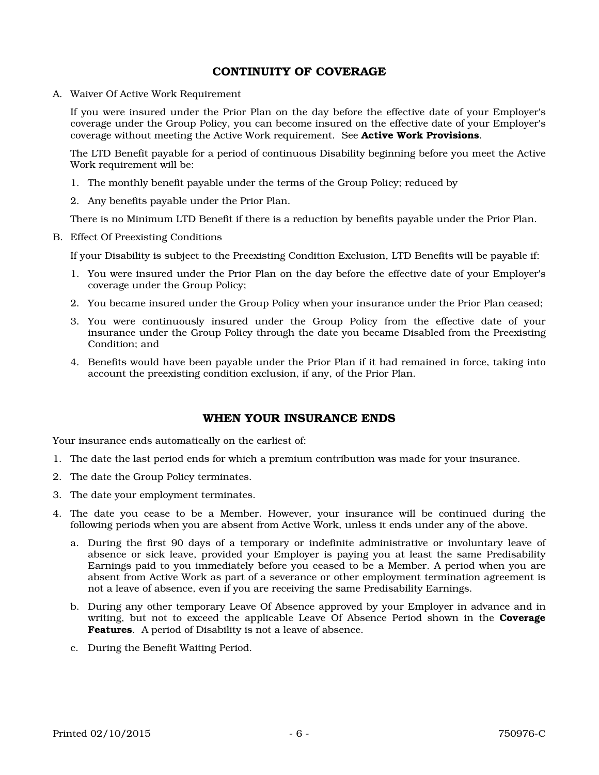### CONTINUITY OF COVERAGE

A. Waiver Of Active Work Requirement

If you were insured under the Prior Plan on the day before the effective date of your Employer's coverage under the Group Policy, you can become insured on the effective date of your Employer's coverage without meeting the Active Work requirement. See Active Work Provisions.

The LTD Benefit payable for a period of continuous Disability beginning before you meet the Active Work requirement will be:

- 1. The monthly benefit payable under the terms of the Group Policy; reduced by
- 2. Any benefits payable under the Prior Plan.

There is no Minimum LTD Benefit if there is a reduction by benefits payable under the Prior Plan.

B. Effect Of Preexisting Conditions

If your Disability is subject to the Preexisting Condition Exclusion, LTD Benefits will be payable if:

- 1. You were insured under the Prior Plan on the day before the effective date of your Employer's coverage under the Group Policy;
- 2. You became insured under the Group Policy when your insurance under the Prior Plan ceased;
- 3. You were continuously insured under the Group Policy from the effective date of your insurance under the Group Policy through the date you became Disabled from the Preexisting Condition; and
- 4. Benefits would have been payable under the Prior Plan if it had remained in force, taking into account the preexisting condition exclusion, if any, of the Prior Plan.

### WHEN YOUR INSURANCE ENDS

Your insurance ends automatically on the earliest of:

- 1. The date the last period ends for which a premium contribution was made for your insurance.
- 2. The date the Group Policy terminates.
- 3. The date your employment terminates.
- 4. The date you cease to be a Member. However, your insurance will be continued during the following periods when you are absent from Active Work, unless it ends under any of the above.
	- a. During the first 90 days of a temporary or indefinite administrative or involuntary leave of absence or sick leave, provided your Employer is paying you at least the same Predisability Earnings paid to you immediately before you ceased to be a Member. A period when you are absent from Active Work as part of a severance or other employment termination agreement is not a leave of absence, even if you are receiving the same Predisability Earnings.
	- b. During any other temporary Leave Of Absence approved by your Employer in advance and in writing, but not to exceed the applicable Leave Of Absence Period shown in the Coverage Features. A period of Disability is not a leave of absence.
	- c. During the Benefit Waiting Period.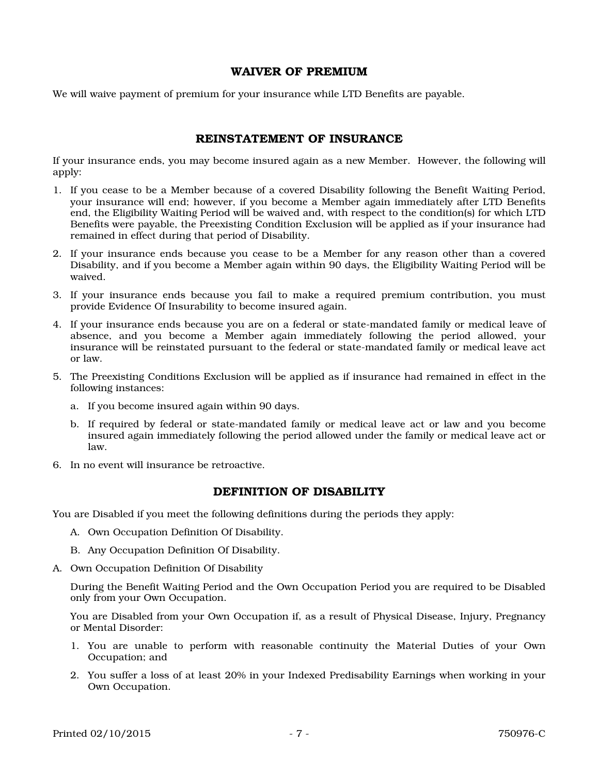### WAIVER OF PREMIUM

We will waive payment of premium for your insurance while LTD Benefits are payable.

### REINSTATEMENT OF INSURANCE

If your insurance ends, you may become insured again as a new Member. However, the following will apply:

- 1. If you cease to be a Member because of a covered Disability following the Benefit Waiting Period, your insurance will end; however, if you become a Member again immediately after LTD Benefits end, the Eligibility Waiting Period will be waived and, with respect to the condition(s) for which LTD Benefits were payable, the Preexisting Condition Exclusion will be applied as if your insurance had remained in effect during that period of Disability.
- 2. If your insurance ends because you cease to be a Member for any reason other than a covered Disability, and if you become a Member again within 90 days, the Eligibility Waiting Period will be waived.
- 3. If your insurance ends because you fail to make a required premium contribution, you must provide Evidence Of Insurability to become insured again.
- 4. If your insurance ends because you are on a federal or state-mandated family or medical leave of absence, and you become a Member again immediately following the period allowed, your insurance will be reinstated pursuant to the federal or state-mandated family or medical leave act or law.
- 5. The Preexisting Conditions Exclusion will be applied as if insurance had remained in effect in the following instances:
	- a. If you become insured again within 90 days.
	- b. If required by federal or state-mandated family or medical leave act or law and you become insured again immediately following the period allowed under the family or medical leave act or law.
- 6. In no event will insurance be retroactive.

### DEFINITION OF DISABILITY

You are Disabled if you meet the following definitions during the periods they apply:

- A. Own Occupation Definition Of Disability.
- B. Any Occupation Definition Of Disability.
- A. Own Occupation Definition Of Disability

During the Benefit Waiting Period and the Own Occupation Period you are required to be Disabled only from your Own Occupation.

You are Disabled from your Own Occupation if, as a result of Physical Disease, Injury, Pregnancy or Mental Disorder:

- 1. You are unable to perform with reasonable continuity the Material Duties of your Own Occupation; and
- 2. You suffer a loss of at least 20% in your Indexed Predisability Earnings when working in your Own Occupation.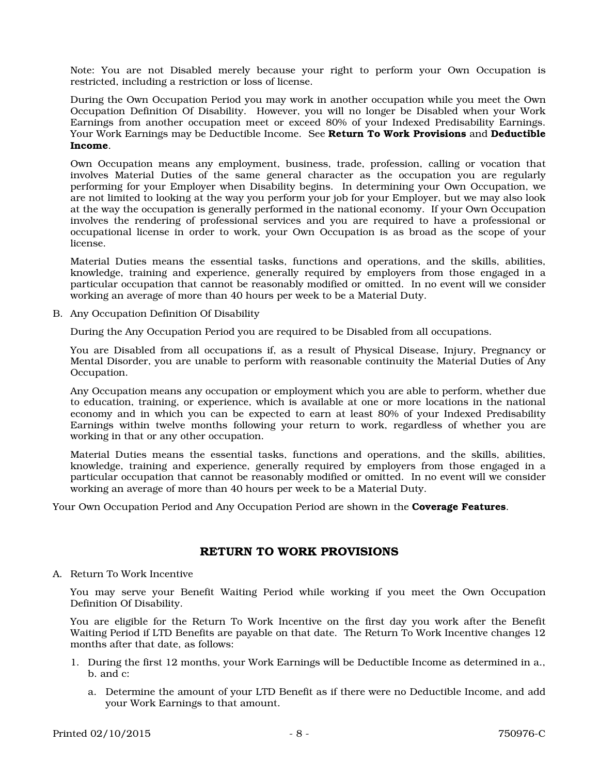Note: You are not Disabled merely because your right to perform your Own Occupation is restricted, including a restriction or loss of license.

During the Own Occupation Period you may work in another occupation while you meet the Own Occupation Definition Of Disability. However, you will no longer be Disabled when your Work Earnings from another occupation meet or exceed 80% of your Indexed Predisability Earnings. Your Work Earnings may be Deductible Income. See Return To Work Provisions and Deductible Income.

Own Occupation means any employment, business, trade, profession, calling or vocation that involves Material Duties of the same general character as the occupation you are regularly performing for your Employer when Disability begins. In determining your Own Occupation, we are not limited to looking at the way you perform your job for your Employer, but we may also look at the way the occupation is generally performed in the national economy. If your Own Occupation involves the rendering of professional services and you are required to have a professional or occupational license in order to work, your Own Occupation is as broad as the scope of your license.

Material Duties means the essential tasks, functions and operations, and the skills, abilities, knowledge, training and experience, generally required by employers from those engaged in a particular occupation that cannot be reasonably modified or omitted. In no event will we consider working an average of more than 40 hours per week to be a Material Duty.

B. Any Occupation Definition Of Disability

During the Any Occupation Period you are required to be Disabled from all occupations.

You are Disabled from all occupations if, as a result of Physical Disease, Injury, Pregnancy or Mental Disorder, you are unable to perform with reasonable continuity the Material Duties of Any Occupation.

Any Occupation means any occupation or employment which you are able to perform, whether due to education, training, or experience, which is available at one or more locations in the national economy and in which you can be expected to earn at least 80% of your Indexed Predisability Earnings within twelve months following your return to work, regardless of whether you are working in that or any other occupation.

Material Duties means the essential tasks, functions and operations, and the skills, abilities, knowledge, training and experience, generally required by employers from those engaged in a particular occupation that cannot be reasonably modified or omitted. In no event will we consider working an average of more than 40 hours per week to be a Material Duty.

Your Own Occupation Period and Any Occupation Period are shown in the **Coverage Features**.

### RETURN TO WORK PROVISIONS

A. Return To Work Incentive

You may serve your Benefit Waiting Period while working if you meet the Own Occupation Definition Of Disability.

You are eligible for the Return To Work Incentive on the first day you work after the Benefit Waiting Period if LTD Benefits are payable on that date. The Return To Work Incentive changes 12 months after that date, as follows:

- 1. During the first 12 months, your Work Earnings will be Deductible Income as determined in a., b. and c:
	- a. Determine the amount of your LTD Benefit as if there were no Deductible Income, and add your Work Earnings to that amount.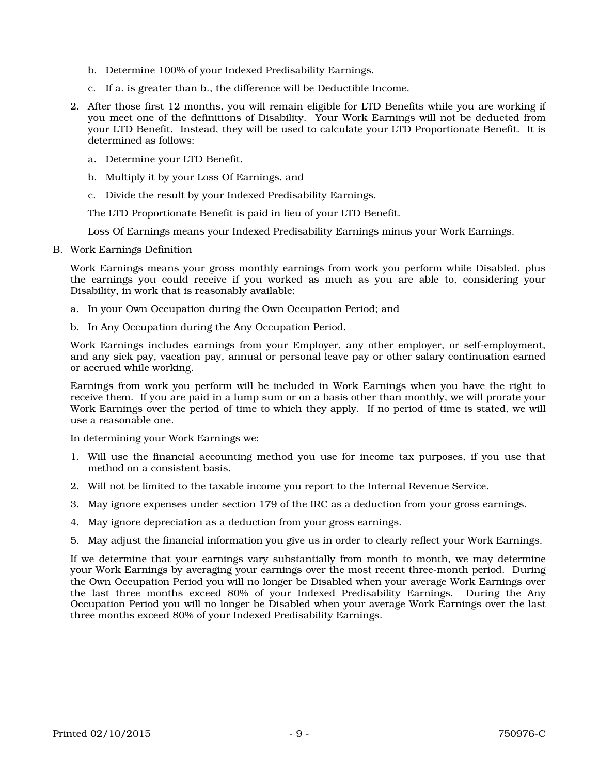- b. Determine 100% of your Indexed Predisability Earnings.
- c. If a. is greater than b., the difference will be Deductible Income.
- 2. After those first 12 months, you will remain eligible for LTD Benefits while you are working if you meet one of the definitions of Disability. Your Work Earnings will not be deducted from your LTD Benefit. Instead, they will be used to calculate your LTD Proportionate Benefit. It is determined as follows:
	- a. Determine your LTD Benefit.
	- b. Multiply it by your Loss Of Earnings, and
	- c. Divide the result by your Indexed Predisability Earnings.

The LTD Proportionate Benefit is paid in lieu of your LTD Benefit.

Loss Of Earnings means your Indexed Predisability Earnings minus your Work Earnings.

B. Work Earnings Definition

Work Earnings means your gross monthly earnings from work you perform while Disabled, plus the earnings you could receive if you worked as much as you are able to, considering your Disability, in work that is reasonably available:

- a. In your Own Occupation during the Own Occupation Period; and
- b. In Any Occupation during the Any Occupation Period.

Work Earnings includes earnings from your Employer, any other employer, or self-employment, and any sick pay, vacation pay, annual or personal leave pay or other salary continuation earned or accrued while working.

Earnings from work you perform will be included in Work Earnings when you have the right to receive them. If you are paid in a lump sum or on a basis other than monthly, we will prorate your Work Earnings over the period of time to which they apply. If no period of time is stated, we will use a reasonable one.

In determining your Work Earnings we:

- 1. Will use the financial accounting method you use for income tax purposes, if you use that method on a consistent basis.
- 2. Will not be limited to the taxable income you report to the Internal Revenue Service.
- 3. May ignore expenses under section 179 of the IRC as a deduction from your gross earnings.
- 4. May ignore depreciation as a deduction from your gross earnings.
- 5. May adjust the financial information you give us in order to clearly reflect your Work Earnings.

If we determine that your earnings vary substantially from month to month, we may determine your Work Earnings by averaging your earnings over the most recent three-month period. During the Own Occupation Period you will no longer be Disabled when your average Work Earnings over the last three months exceed 80% of your Indexed Predisability Earnings. During the Any Occupation Period you will no longer be Disabled when your average Work Earnings over the last three months exceed 80% of your Indexed Predisability Earnings.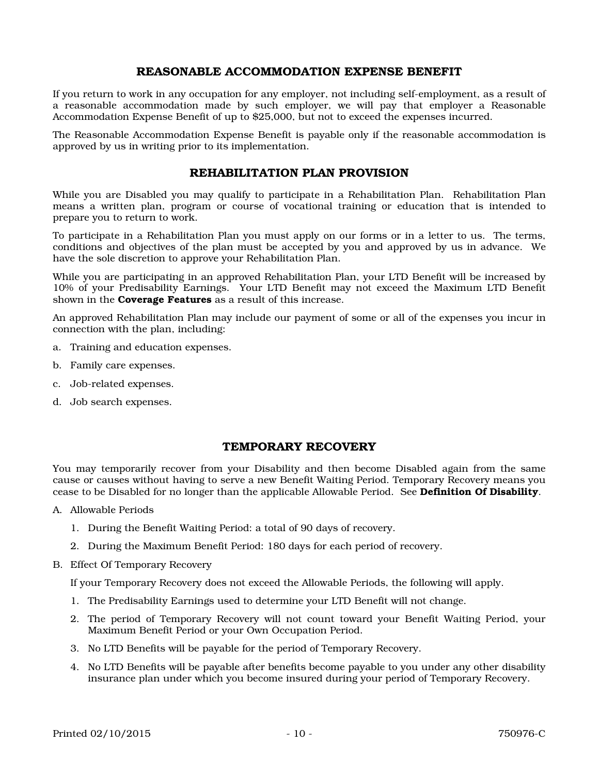### REASONABLE ACCOMMODATION EXPENSE BENEFIT

If you return to work in any occupation for any employer, not including self-employment, as a result of a reasonable accommodation made by such employer, we will pay that employer a Reasonable Accommodation Expense Benefit of up to \$25,000, but not to exceed the expenses incurred.

The Reasonable Accommodation Expense Benefit is payable only if the reasonable accommodation is approved by us in writing prior to its implementation.

#### REHABILITATION PLAN PROVISION

While you are Disabled you may qualify to participate in a Rehabilitation Plan. Rehabilitation Plan means a written plan, program or course of vocational training or education that is intended to prepare you to return to work.

To participate in a Rehabilitation Plan you must apply on our forms or in a letter to us. The terms, conditions and objectives of the plan must be accepted by you and approved by us in advance. We have the sole discretion to approve your Rehabilitation Plan.

While you are participating in an approved Rehabilitation Plan, your LTD Benefit will be increased by 10% of your Predisability Earnings. Your LTD Benefit may not exceed the Maximum LTD Benefit shown in the **Coverage Features** as a result of this increase.

An approved Rehabilitation Plan may include our payment of some or all of the expenses you incur in connection with the plan, including:

- a. Training and education expenses.
- b. Family care expenses.
- c. Job-related expenses.
- d. Job search expenses.

### TEMPORARY RECOVERY

You may temporarily recover from your Disability and then become Disabled again from the same cause or causes without having to serve a new Benefit Waiting Period. Temporary Recovery means you cease to be Disabled for no longer than the applicable Allowable Period. See Definition Of Disability.

- A. Allowable Periods
	- 1. During the Benefit Waiting Period: a total of 90 days of recovery.
	- 2. During the Maximum Benefit Period: 180 days for each period of recovery.
- B. Effect Of Temporary Recovery

If your Temporary Recovery does not exceed the Allowable Periods, the following will apply.

- 1. The Predisability Earnings used to determine your LTD Benefit will not change.
- 2. The period of Temporary Recovery will not count toward your Benefit Waiting Period, your Maximum Benefit Period or your Own Occupation Period.
- 3. No LTD Benefits will be payable for the period of Temporary Recovery.
- 4. No LTD Benefits will be payable after benefits become payable to you under any other disability insurance plan under which you become insured during your period of Temporary Recovery.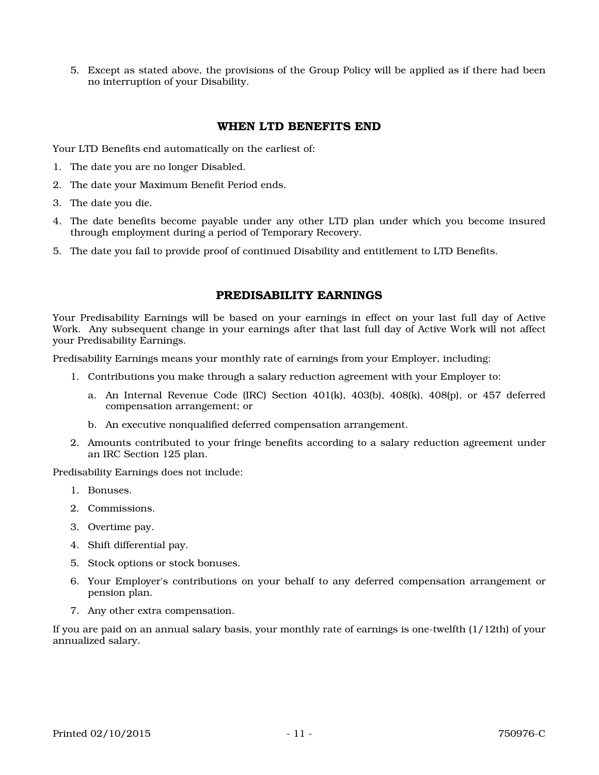5. Except as stated above, the provisions of the Group Policy will be applied as if there had been no interruption of your Disability.

## WHEN LTD BENEFITS END

Your LTD Benefits end automatically on the earliest of:

- 1. The date you are no longer Disabled.
- 2. The date your Maximum Benefit Period ends.
- 3. The date you die.
- 4. The date benefits become payable under any other LTD plan under which you become insured through employment during a period of Temporary Recovery.
- 5. The date you fail to provide proof of continued Disability and entitlement to LTD Benefits.

### PREDISABILITY EARNINGS

Your Predisability Earnings will be based on your earnings in effect on your last full day of Active Work. Any subsequent change in your earnings after that last full day of Active Work will not affect your Predisability Earnings.

Predisability Earnings means your monthly rate of earnings from your Employer, including:

- 1. Contributions you make through a salary reduction agreement with your Employer to:
	- a. An Internal Revenue Code (IRC) Section  $401(k)$ ,  $403(k)$ ,  $408(k)$ ,  $408(p)$ , or  $457$  deferred compensation arrangement; or
	- b. An executive nonqualified deferred compensation arrangement.
- 2. Amounts contributed to your fringe benefits according to a salary reduction agreement under an IRC Section 125 plan.

Predisability Earnings does not include:

- 1. Bonuses.
- 2. Commissions.
- 3. Overtime pay.
- 4. Shift differential pay.
- 5. Stock options or stock bonuses.
- 6. Your Employer's contributions on your behalf to any deferred compensation arrangement or pension plan.
- 7. Any other extra compensation.

If you are paid on an annual salary basis, your monthly rate of earnings is one-twelfth (1/12th) of your annualized salary.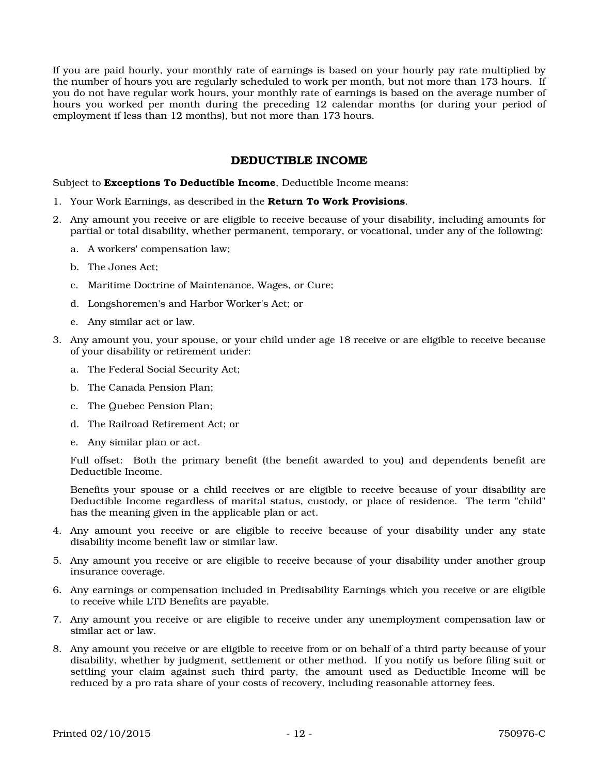If you are paid hourly, your monthly rate of earnings is based on your hourly pay rate multiplied by the number of hours you are regularly scheduled to work per month, but not more than 173 hours. If you do not have regular work hours, your monthly rate of earnings is based on the average number of hours you worked per month during the preceding 12 calendar months (or during your period of employment if less than 12 months), but not more than 173 hours.

### DEDUCTIBLE INCOME

Subject to **Exceptions To Deductible Income**, Deductible Income means:

- 1. Your Work Earnings, as described in the Return To Work Provisions.
- 2. Any amount you receive or are eligible to receive because of your disability, including amounts for partial or total disability, whether permanent, temporary, or vocational, under any of the following:
	- a. A workers' compensation law;
	- b. The Jones Act;
	- c. Maritime Doctrine of Maintenance, Wages, or Cure;
	- d. Longshoremen's and Harbor Worker's Act; or
	- e. Any similar act or law.
- 3. Any amount you, your spouse, or your child under age 18 receive or are eligible to receive because of your disability or retirement under:
	- a. The Federal Social Security Act;
	- b. The Canada Pension Plan;
	- c. The Quebec Pension Plan;
	- d. The Railroad Retirement Act; or
	- e. Any similar plan or act.

Full offset: Both the primary benefit (the benefit awarded to you) and dependents benefit are Deductible Income.

Benefits your spouse or a child receives or are eligible to receive because of your disability are Deductible Income regardless of marital status, custody, or place of residence. The term "child" has the meaning given in the applicable plan or act.

- 4. Any amount you receive or are eligible to receive because of your disability under any state disability income benefit law or similar law.
- 5. Any amount you receive or are eligible to receive because of your disability under another group insurance coverage.
- 6. Any earnings or compensation included in Predisability Earnings which you receive or are eligible to receive while LTD Benefits are payable.
- 7. Any amount you receive or are eligible to receive under any unemployment compensation law or similar act or law.
- 8. Any amount you receive or are eligible to receive from or on behalf of a third party because of your disability, whether by judgment, settlement or other method. If you notify us before filing suit or settling your claim against such third party, the amount used as Deductible Income will be reduced by a pro rata share of your costs of recovery, including reasonable attorney fees.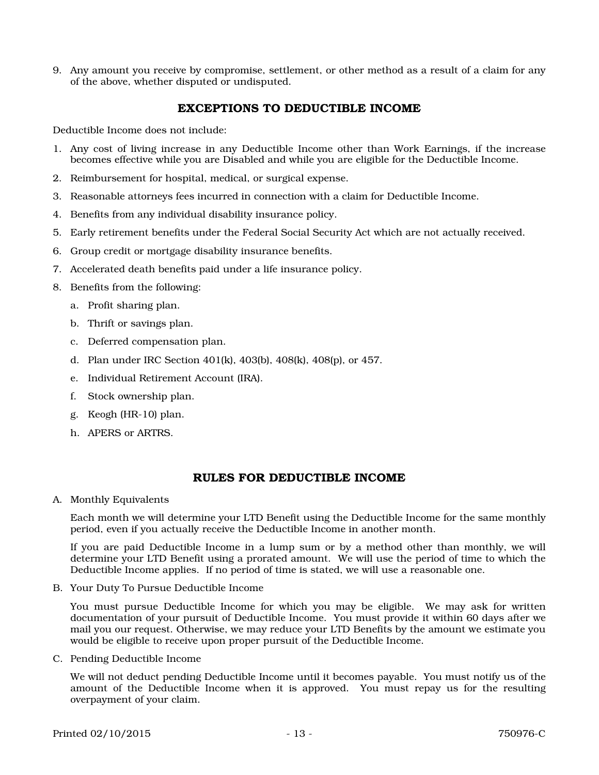9. Any amount you receive by compromise, settlement, or other method as a result of a claim for any of the above, whether disputed or undisputed.

### EXCEPTIONS TO DEDUCTIBLE INCOME

Deductible Income does not include:

- 1. Any cost of living increase in any Deductible Income other than Work Earnings, if the increase becomes effective while you are Disabled and while you are eligible for the Deductible Income.
- 2. Reimbursement for hospital, medical, or surgical expense.
- 3. Reasonable attorneys fees incurred in connection with a claim for Deductible Income.
- 4. Benefits from any individual disability insurance policy.
- 5. Early retirement benefits under the Federal Social Security Act which are not actually received.
- 6. Group credit or mortgage disability insurance benefits.
- 7. Accelerated death benefits paid under a life insurance policy.
- 8. Benefits from the following:
	- a. Profit sharing plan.
	- b. Thrift or savings plan.
	- c. Deferred compensation plan.
	- d. Plan under IRC Section 401(k), 403(b), 408(k), 408(p), or 457.
	- e. Individual Retirement Account (IRA).
	- f. Stock ownership plan.
	- g. Keogh (HR-10) plan.
	- h. APERS or ARTRS.

### RULES FOR DEDUCTIBLE INCOME

A. Monthly Equivalents

Each month we will determine your LTD Benefit using the Deductible Income for the same monthly period, even if you actually receive the Deductible Income in another month.

If you are paid Deductible Income in a lump sum or by a method other than monthly, we will determine your LTD Benefit using a prorated amount. We will use the period of time to which the Deductible Income applies. If no period of time is stated, we will use a reasonable one.

B. Your Duty To Pursue Deductible Income

You must pursue Deductible Income for which you may be eligible. We may ask for written documentation of your pursuit of Deductible Income. You must provide it within 60 days after we mail you our request. Otherwise, we may reduce your LTD Benefits by the amount we estimate you would be eligible to receive upon proper pursuit of the Deductible Income.

C. Pending Deductible Income

We will not deduct pending Deductible Income until it becomes payable. You must notify us of the amount of the Deductible Income when it is approved. You must repay us for the resulting overpayment of your claim.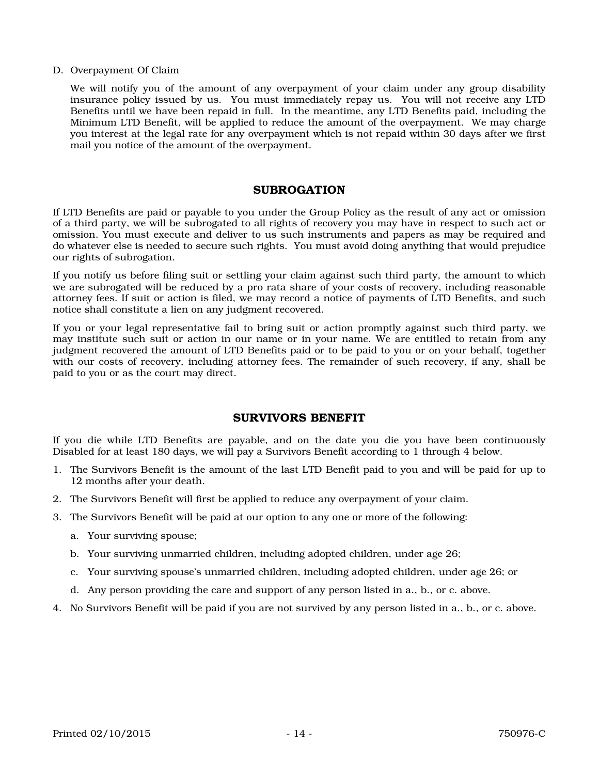#### D. Overpayment Of Claim

We will notify you of the amount of any overpayment of your claim under any group disability insurance policy issued by us. You must immediately repay us. You will not receive any LTD Benefits until we have been repaid in full. In the meantime, any LTD Benefits paid, including the Minimum LTD Benefit, will be applied to reduce the amount of the overpayment. We may charge you interest at the legal rate for any overpayment which is not repaid within 30 days after we first mail you notice of the amount of the overpayment.

#### SUBROGATION

If LTD Benefits are paid or payable to you under the Group Policy as the result of any act or omission of a third party, we will be subrogated to all rights of recovery you may have in respect to such act or omission. You must execute and deliver to us such instruments and papers as may be required and do whatever else is needed to secure such rights. You must avoid doing anything that would prejudice our rights of subrogation.

If you notify us before filing suit or settling your claim against such third party, the amount to which we are subrogated will be reduced by a pro rata share of your costs of recovery, including reasonable attorney fees. If suit or action is filed, we may record a notice of payments of LTD Benefits, and such notice shall constitute a lien on any judgment recovered.

If you or your legal representative fail to bring suit or action promptly against such third party, we may institute such suit or action in our name or in your name. We are entitled to retain from any judgment recovered the amount of LTD Benefits paid or to be paid to you or on your behalf, together with our costs of recovery, including attorney fees. The remainder of such recovery, if any, shall be paid to you or as the court may direct.

### SURVIVORS BENEFIT

If you die while LTD Benefits are payable, and on the date you die you have been continuously Disabled for at least 180 days, we will pay a Survivors Benefit according to 1 through 4 below.

- 1. The Survivors Benefit is the amount of the last LTD Benefit paid to you and will be paid for up to 12 months after your death.
- 2. The Survivors Benefit will first be applied to reduce any overpayment of your claim.
- 3. The Survivors Benefit will be paid at our option to any one or more of the following:
	- a. Your surviving spouse;
	- b. Your surviving unmarried children, including adopted children, under age 26;
	- c. Your surviving spouse's unmarried children, including adopted children, under age 26; or
	- d. Any person providing the care and support of any person listed in a., b., or c. above.
- 4. No Survivors Benefit will be paid if you are not survived by any person listed in a., b., or c. above.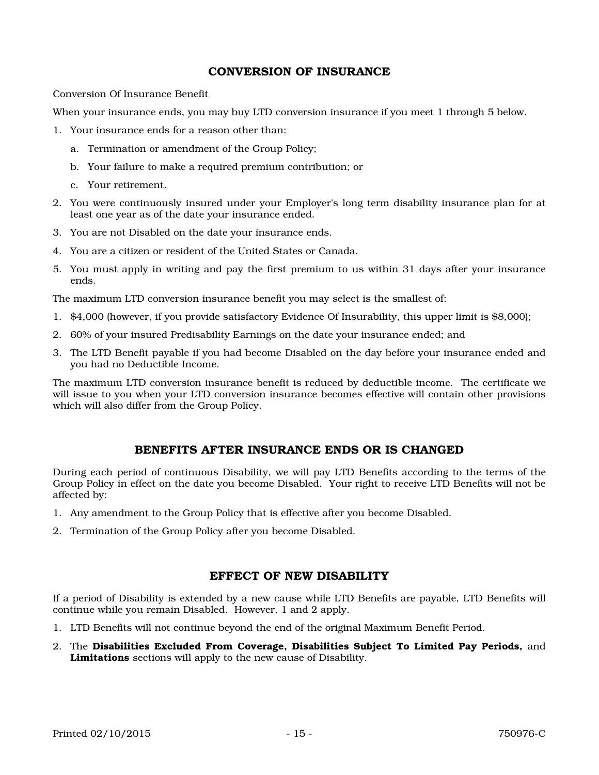### CONVERSION OF INSURANCE

Conversion Of Insurance Benefit

When your insurance ends, you may buy LTD conversion insurance if you meet 1 through 5 below.

- 1. Your insurance ends for a reason other than:
	- a. Termination or amendment of the Group Policy;
	- b. Your failure to make a required premium contribution; or
	- c. Your retirement.
- 2. You were continuously insured under your Employer's long term disability insurance plan for at least one year as of the date your insurance ended.
- 3. You are not Disabled on the date your insurance ends.
- 4. You are a citizen or resident of the United States or Canada.
- 5. You must apply in writing and pay the first premium to us within 31 days after your insurance ends.

The maximum LTD conversion insurance benefit you may select is the smallest of:

- 1. \$4,000 (however, if you provide satisfactory Evidence Of Insurability, this upper limit is \$8,000);
- 2. 60% of your insured Predisability Earnings on the date your insurance ended; and
- 3. The LTD Benefit payable if you had become Disabled on the day before your insurance ended and you had no Deductible Income.

The maximum LTD conversion insurance benefit is reduced by deductible income. The certificate we will issue to you when your LTD conversion insurance becomes effective will contain other provisions which will also differ from the Group Policy.

### BENEFITS AFTER INSURANCE ENDS OR IS CHANGED

During each period of continuous Disability, we will pay LTD Benefits according to the terms of the Group Policy in effect on the date you become Disabled. Your right to receive LTD Benefits will not be affected by:

- 1. Any amendment to the Group Policy that is effective after you become Disabled.
- 2. Termination of the Group Policy after you become Disabled.

### EFFECT OF NEW DISABILITY

If a period of Disability is extended by a new cause while LTD Benefits are payable, LTD Benefits will continue while you remain Disabled. However, 1 and 2 apply.

- 1. LTD Benefits will not continue beyond the end of the original Maximum Benefit Period.
- 2. The Disabilities Excluded From Coverage, Disabilities Subject To Limited Pay Periods, and Limitations sections will apply to the new cause of Disability.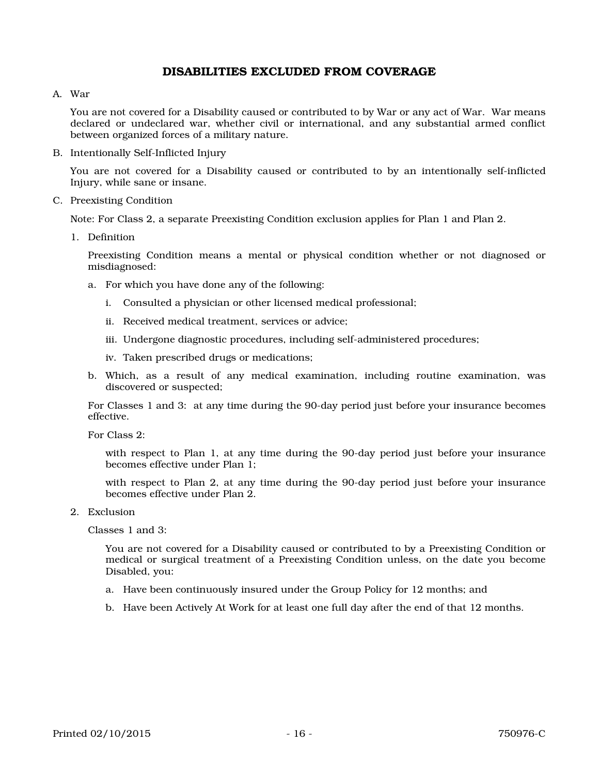### DISABILITIES EXCLUDED FROM COVERAGE

#### A. War

You are not covered for a Disability caused or contributed to by War or any act of War. War means declared or undeclared war, whether civil or international, and any substantial armed conflict between organized forces of a military nature.

B. Intentionally Self-Inflicted Injury

You are not covered for a Disability caused or contributed to by an intentionally self-inflicted Injury, while sane or insane.

C. Preexisting Condition

Note: For Class 2, a separate Preexisting Condition exclusion applies for Plan 1 and Plan 2.

1. Definition

Preexisting Condition means a mental or physical condition whether or not diagnosed or misdiagnosed:

- a. For which you have done any of the following:
	- i. Consulted a physician or other licensed medical professional;
	- ii. Received medical treatment, services or advice;
	- iii. Undergone diagnostic procedures, including self-administered procedures;
	- iv. Taken prescribed drugs or medications;
- b. Which, as a result of any medical examination, including routine examination, was discovered or suspected;

For Classes 1 and 3: at any time during the 90-day period just before your insurance becomes effective.

For Class 2:

with respect to Plan 1, at any time during the 90-day period just before your insurance becomes effective under Plan 1;

with respect to Plan 2, at any time during the 90-day period just before your insurance becomes effective under Plan 2.

2. Exclusion

Classes 1 and 3:

You are not covered for a Disability caused or contributed to by a Preexisting Condition or medical or surgical treatment of a Preexisting Condition unless, on the date you become Disabled, you:

- a. Have been continuously insured under the Group Policy for 12 months; and
- b. Have been Actively At Work for at least one full day after the end of that 12 months.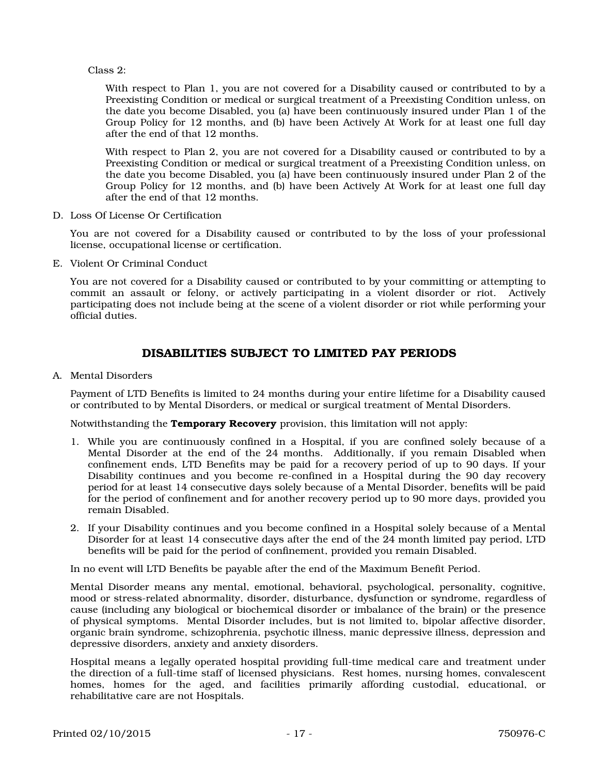Class 2:

With respect to Plan 1, you are not covered for a Disability caused or contributed to by a Preexisting Condition or medical or surgical treatment of a Preexisting Condition unless, on the date you become Disabled, you (a) have been continuously insured under Plan 1 of the Group Policy for 12 months, and (b) have been Actively At Work for at least one full day after the end of that 12 months.

With respect to Plan 2, you are not covered for a Disability caused or contributed to by a Preexisting Condition or medical or surgical treatment of a Preexisting Condition unless, on the date you become Disabled, you (a) have been continuously insured under Plan 2 of the Group Policy for 12 months, and (b) have been Actively At Work for at least one full day after the end of that 12 months.

D. Loss Of License Or Certification

You are not covered for a Disability caused or contributed to by the loss of your professional license, occupational license or certification.

E. Violent Or Criminal Conduct

You are not covered for a Disability caused or contributed to by your committing or attempting to commit an assault or felony, or actively participating in a violent disorder or riot. Actively participating does not include being at the scene of a violent disorder or riot while performing your official duties.

# DISABILITIES SUBJECT TO LIMITED PAY PERIODS

A. Mental Disorders

Payment of LTD Benefits is limited to 24 months during your entire lifetime for a Disability caused or contributed to by Mental Disorders, or medical or surgical treatment of Mental Disorders.

Notwithstanding the **Temporary Recovery** provision, this limitation will not apply:

- 1. While you are continuously confined in a Hospital, if you are confined solely because of a Mental Disorder at the end of the 24 months. Additionally, if you remain Disabled when confinement ends, LTD Benefits may be paid for a recovery period of up to 90 days. If your Disability continues and you become re-confined in a Hospital during the 90 day recovery period for at least 14 consecutive days solely because of a Mental Disorder, benefits will be paid for the period of confinement and for another recovery period up to 90 more days, provided you remain Disabled.
- 2. If your Disability continues and you become confined in a Hospital solely because of a Mental Disorder for at least 14 consecutive days after the end of the 24 month limited pay period, LTD benefits will be paid for the period of confinement, provided you remain Disabled.

In no event will LTD Benefits be payable after the end of the Maximum Benefit Period.

Mental Disorder means any mental, emotional, behavioral, psychological, personality, cognitive, mood or stress-related abnormality, disorder, disturbance, dysfunction or syndrome, regardless of cause (including any biological or biochemical disorder or imbalance of the brain) or the presence of physical symptoms. Mental Disorder includes, but is not limited to, bipolar affective disorder, organic brain syndrome, schizophrenia, psychotic illness, manic depressive illness, depression and depressive disorders, anxiety and anxiety disorders.

Hospital means a legally operated hospital providing full-time medical care and treatment under the direction of a full-time staff of licensed physicians. Rest homes, nursing homes, convalescent homes, homes for the aged, and facilities primarily affording custodial, educational, or rehabilitative care are not Hospitals.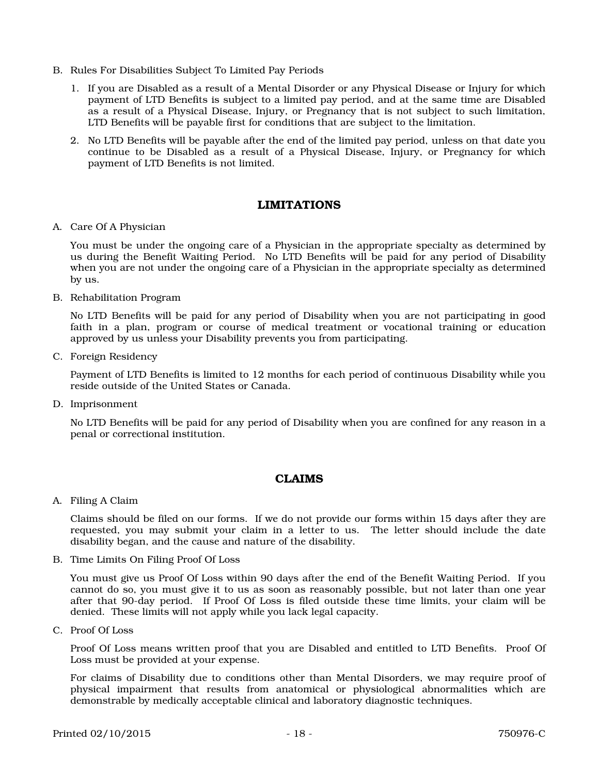- B. Rules For Disabilities Subject To Limited Pay Periods
	- 1. If you are Disabled as a result of a Mental Disorder or any Physical Disease or Injury for which payment of LTD Benefits is subject to a limited pay period, and at the same time are Disabled as a result of a Physical Disease, Injury, or Pregnancy that is not subject to such limitation, LTD Benefits will be payable first for conditions that are subject to the limitation.
	- 2. No LTD Benefits will be payable after the end of the limited pay period, unless on that date you continue to be Disabled as a result of a Physical Disease, Injury, or Pregnancy for which payment of LTD Benefits is not limited.

### LIMITATIONS

A. Care Of A Physician

You must be under the ongoing care of a Physician in the appropriate specialty as determined by us during the Benefit Waiting Period. No LTD Benefits will be paid for any period of Disability when you are not under the ongoing care of a Physician in the appropriate specialty as determined by us.

B. Rehabilitation Program

No LTD Benefits will be paid for any period of Disability when you are not participating in good faith in a plan, program or course of medical treatment or vocational training or education approved by us unless your Disability prevents you from participating.

C. Foreign Residency

Payment of LTD Benefits is limited to 12 months for each period of continuous Disability while you reside outside of the United States or Canada.

D. Imprisonment

No LTD Benefits will be paid for any period of Disability when you are confined for any reason in a penal or correctional institution.

### CLAIMS

A. Filing A Claim

Claims should be filed on our forms. If we do not provide our forms within 15 days after they are requested, you may submit your claim in a letter to us. The letter should include the date disability began, and the cause and nature of the disability.

B. Time Limits On Filing Proof Of Loss

You must give us Proof Of Loss within 90 days after the end of the Benefit Waiting Period. If you cannot do so, you must give it to us as soon as reasonably possible, but not later than one year after that 90-day period. If Proof Of Loss is filed outside these time limits, your claim will be denied. These limits will not apply while you lack legal capacity.

C. Proof Of Loss

Proof Of Loss means written proof that you are Disabled and entitled to LTD Benefits. Proof Of Loss must be provided at your expense.

For claims of Disability due to conditions other than Mental Disorders, we may require proof of physical impairment that results from anatomical or physiological abnormalities which are demonstrable by medically acceptable clinical and laboratory diagnostic techniques.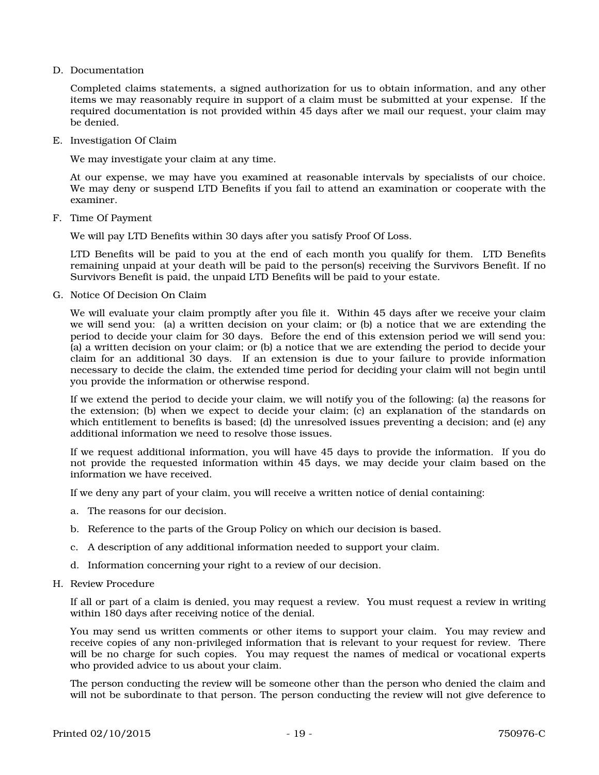D. Documentation

Completed claims statements, a signed authorization for us to obtain information, and any other items we may reasonably require in support of a claim must be submitted at your expense. If the required documentation is not provided within 45 days after we mail our request, your claim may be denied.

E. Investigation Of Claim

We may investigate your claim at any time.

At our expense, we may have you examined at reasonable intervals by specialists of our choice. We may deny or suspend LTD Benefits if you fail to attend an examination or cooperate with the examiner.

F. Time Of Payment

We will pay LTD Benefits within 30 days after you satisfy Proof Of Loss.

LTD Benefits will be paid to you at the end of each month you qualify for them. LTD Benefits remaining unpaid at your death will be paid to the person(s) receiving the Survivors Benefit. If no Survivors Benefit is paid, the unpaid LTD Benefits will be paid to your estate.

G. Notice Of Decision On Claim

We will evaluate your claim promptly after you file it. Within 45 days after we receive your claim we will send you: (a) a written decision on your claim; or (b) a notice that we are extending the period to decide your claim for 30 days. Before the end of this extension period we will send you: (a) a written decision on your claim; or (b) a notice that we are extending the period to decide your claim for an additional 30 days. If an extension is due to your failure to provide information necessary to decide the claim, the extended time period for deciding your claim will not begin until you provide the information or otherwise respond.

If we extend the period to decide your claim, we will notify you of the following: (a) the reasons for the extension; (b) when we expect to decide your claim; (c) an explanation of the standards on which entitlement to benefits is based; (d) the unresolved issues preventing a decision; and (e) any additional information we need to resolve those issues.

If we request additional information, you will have 45 days to provide the information. If you do not provide the requested information within 45 days, we may decide your claim based on the information we have received.

If we deny any part of your claim, you will receive a written notice of denial containing:

- a. The reasons for our decision.
- b. Reference to the parts of the Group Policy on which our decision is based.
- c. A description of any additional information needed to support your claim.
- d. Information concerning your right to a review of our decision.
- H. Review Procedure

If all or part of a claim is denied, you may request a review. You must request a review in writing within 180 days after receiving notice of the denial.

You may send us written comments or other items to support your claim. You may review and receive copies of any non-privileged information that is relevant to your request for review. There will be no charge for such copies. You may request the names of medical or vocational experts who provided advice to us about your claim.

The person conducting the review will be someone other than the person who denied the claim and will not be subordinate to that person. The person conducting the review will not give deference to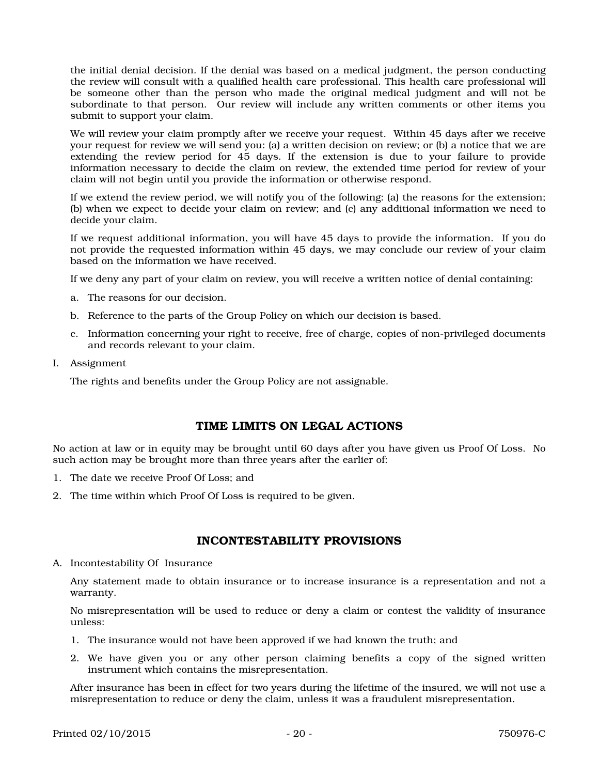the initial denial decision. If the denial was based on a medical judgment, the person conducting the review will consult with a qualified health care professional. This health care professional will be someone other than the person who made the original medical judgment and will not be subordinate to that person. Our review will include any written comments or other items you submit to support your claim.

We will review your claim promptly after we receive your request. Within 45 days after we receive your request for review we will send you: (a) a written decision on review; or (b) a notice that we are extending the review period for 45 days. If the extension is due to your failure to provide information necessary to decide the claim on review, the extended time period for review of your claim will not begin until you provide the information or otherwise respond.

If we extend the review period, we will notify you of the following: (a) the reasons for the extension; (b) when we expect to decide your claim on review; and (c) any additional information we need to decide your claim.

If we request additional information, you will have 45 days to provide the information. If you do not provide the requested information within 45 days, we may conclude our review of your claim based on the information we have received.

If we deny any part of your claim on review, you will receive a written notice of denial containing:

- a. The reasons for our decision.
- b. Reference to the parts of the Group Policy on which our decision is based.
- c. Information concerning your right to receive, free of charge, copies of non-privileged documents and records relevant to your claim.
- I. Assignment

The rights and benefits under the Group Policy are not assignable.

### TIME LIMITS ON LEGAL ACTIONS

No action at law or in equity may be brought until 60 days after you have given us Proof Of Loss. No such action may be brought more than three years after the earlier of:

- 1. The date we receive Proof Of Loss; and
- 2. The time within which Proof Of Loss is required to be given.

### INCONTESTABILITY PROVISIONS

A. Incontestability Of Insurance

Any statement made to obtain insurance or to increase insurance is a representation and not a warranty.

No misrepresentation will be used to reduce or deny a claim or contest the validity of insurance unless:

- 1. The insurance would not have been approved if we had known the truth; and
- 2. We have given you or any other person claiming benefits a copy of the signed written instrument which contains the misrepresentation.

After insurance has been in effect for two years during the lifetime of the insured, we will not use a misrepresentation to reduce or deny the claim, unless it was a fraudulent misrepresentation.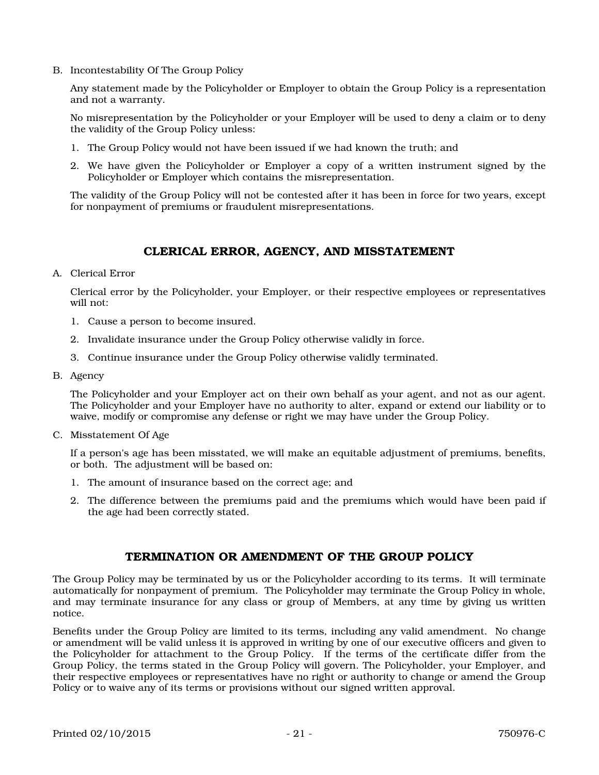B. Incontestability Of The Group Policy

Any statement made by the Policyholder or Employer to obtain the Group Policy is a representation and not a warranty.

No misrepresentation by the Policyholder or your Employer will be used to deny a claim or to deny the validity of the Group Policy unless:

- 1. The Group Policy would not have been issued if we had known the truth; and
- 2. We have given the Policyholder or Employer a copy of a written instrument signed by the Policyholder or Employer which contains the misrepresentation.

The validity of the Group Policy will not be contested after it has been in force for two years, except for nonpayment of premiums or fraudulent misrepresentations.

### CLERICAL ERROR, AGENCY, AND MISSTATEMENT

A. Clerical Error

Clerical error by the Policyholder, your Employer, or their respective employees or representatives will not:

- 1. Cause a person to become insured.
- 2. Invalidate insurance under the Group Policy otherwise validly in force.
- 3. Continue insurance under the Group Policy otherwise validly terminated.
- B. Agency

The Policyholder and your Employer act on their own behalf as your agent, and not as our agent. The Policyholder and your Employer have no authority to alter, expand or extend our liability or to waive, modify or compromise any defense or right we may have under the Group Policy.

C. Misstatement Of Age

If a person's age has been misstated, we will make an equitable adjustment of premiums, benefits, or both. The adjustment will be based on:

- 1. The amount of insurance based on the correct age; and
- 2. The difference between the premiums paid and the premiums which would have been paid if the age had been correctly stated.

### TERMINATION OR AMENDMENT OF THE GROUP POLICY

The Group Policy may be terminated by us or the Policyholder according to its terms. It will terminate automatically for nonpayment of premium. The Policyholder may terminate the Group Policy in whole, and may terminate insurance for any class or group of Members, at any time by giving us written notice.

Benefits under the Group Policy are limited to its terms, including any valid amendment. No change or amendment will be valid unless it is approved in writing by one of our executive officers and given to the Policyholder for attachment to the Group Policy. If the terms of the certificate differ from the Group Policy, the terms stated in the Group Policy will govern. The Policyholder, your Employer, and their respective employees or representatives have no right or authority to change or amend the Group Policy or to waive any of its terms or provisions without our signed written approval.